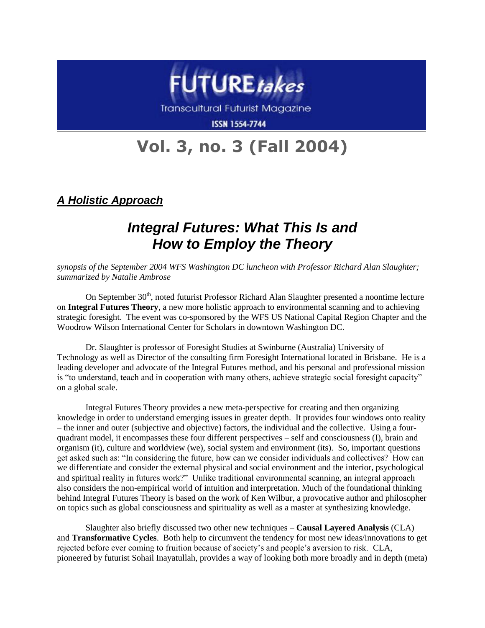

**ISSN 1554-7744** 

## **Vol. 3, no. 3 (Fall 2004)**

*A Holistic Approach*

## *Integral Futures: What This Is and How to Employ the Theory*

*synopsis of the September 2004 WFS Washington DC luncheon with Professor Richard Alan Slaughter; summarized by Natalie Ambrose*

On September 30<sup>th</sup>, noted futurist Professor Richard Alan Slaughter presented a noontime lecture on **Integral Futures Theory**, a new more holistic approach to environmental scanning and to achieving strategic foresight. The event was co-sponsored by the WFS US National Capital Region Chapter and the Woodrow Wilson International Center for Scholars in downtown Washington DC.

Dr. Slaughter is professor of Foresight Studies at Swinburne (Australia) University of Technology as well as Director of the consulting firm Foresight International located in Brisbane. He is a leading developer and advocate of the Integral Futures method, and his personal and professional mission is "to understand, teach and in cooperation with many others, achieve strategic social foresight capacity" on a global scale.

Integral Futures Theory provides a new meta-perspective for creating and then organizing knowledge in order to understand emerging issues in greater depth. It provides four windows onto reality – the inner and outer (subjective and objective) factors, the individual and the collective. Using a fourquadrant model, it encompasses these four different perspectives – self and consciousness (I), brain and organism (it), culture and worldview (we), social system and environment (its). So, important questions get asked such as: "In considering the future, how can we consider individuals and collectives? How can we differentiate and consider the external physical and social environment and the interior, psychological and spiritual reality in futures work?" Unlike traditional environmental scanning, an integral approach also considers the non-empirical world of intuition and interpretation. Much of the foundational thinking behind Integral Futures Theory is based on the work of Ken Wilbur, a provocative author and philosopher on topics such as global consciousness and spirituality as well as a master at synthesizing knowledge.

Slaughter also briefly discussed two other new techniques – **Causal Layered Analysis** (CLA) and **Transformative Cycles**. Both help to circumvent the tendency for most new ideas/innovations to get rejected before ever coming to fruition because of society's and people's aversion to risk. CLA, pioneered by futurist Sohail Inayatullah, provides a way of looking both more broadly and in depth (meta)